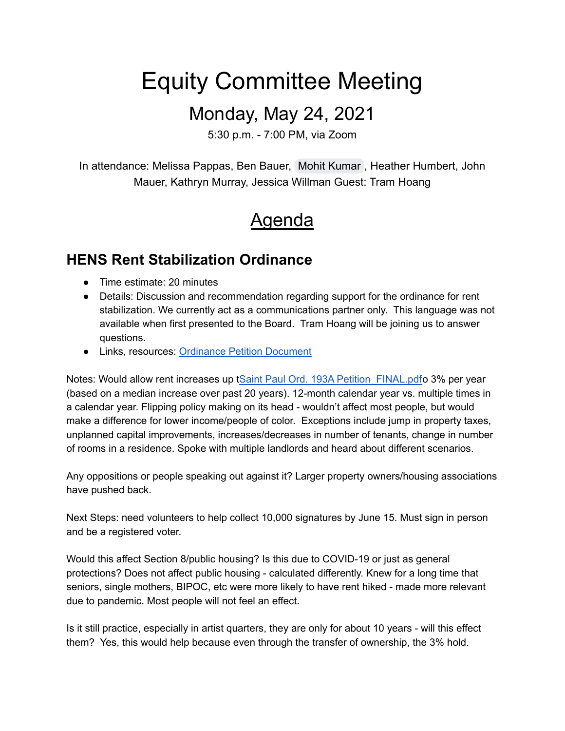# Equity Committee Meeting

## Monday, May 24, 2021

5:30 p.m. - 7:00 PM, via Zoom

In attendance: Melissa Pappas, Ben Bauer, [Mohit Kumar](mailto:mohitrana0095@gmail.com) , Heather Humbert, John Mauer, Kathryn Murray, Jessica Willman Guest: Tram Hoang

# **Agenda**

#### **HENS Rent Stabilization Ordinance**

- Time estimate: 20 minutes
- Details: Discussion and recommendation regarding support for the ordinance for rent stabilization. We currently act as a communications partner only. This language was not available when first presented to the Board. Tram Hoang will be joining us to answer questions.
- Links, resources: [Ordinance](https://drive.google.com/file/d/1HgrWziiAsSabyb7_55VzhwiIuKXail6x/view?usp=sharing) Petition Document

Notes: Would allow rent increases up tSaint Paul Ord. 193A Petition FINAL.pdfo 3% per year (based on a median increase over past 20 years). 12-month calendar year vs. multiple times in a calendar year. Flipping policy making on its head - wouldn't affect most people, but would make a difference for lower income/people of color. Exceptions include jump in property taxes, unplanned capital improvements, increases/decreases in number of tenants, change in number of rooms in a residence. Spoke with multiple landlords and heard about different scenarios.

Any oppositions or people speaking out against it? Larger property owners/housing associations have pushed back.

Next Steps: need volunteers to help collect 10,000 signatures by June 15. Must sign in person and be a registered voter.

Would this affect Section 8/public housing? Is this due to COVID-19 or just as general protections? Does not affect public housing - calculated differently. Knew for a long time that seniors, single mothers, BIPOC, etc were more likely to have rent hiked - made more relevant due to pandemic. Most people will not feel an effect.

Is it still practice, especially in artist quarters, they are only for about 10 years - will this effect them? Yes, this would help because even through the transfer of ownership, the 3% hold.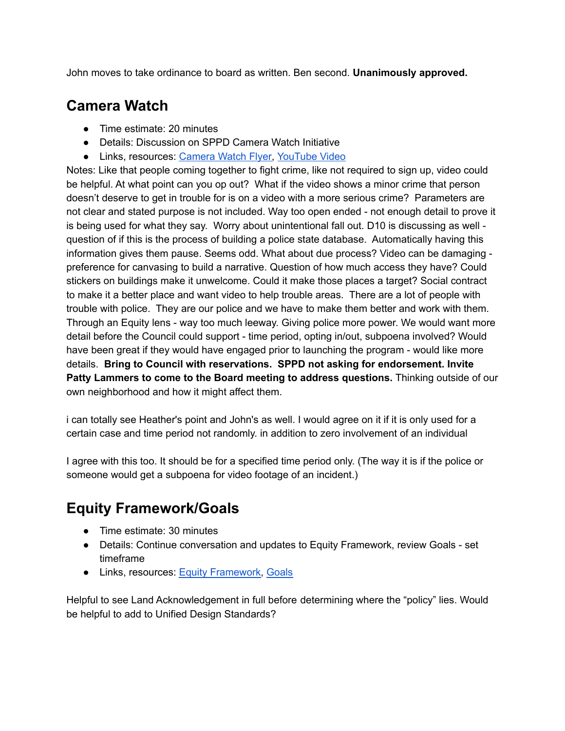John moves to take ordinance to board as written. Ben second. **Unanimously approved.**

#### **Camera Watch**

- Time estimate: 20 minutes
- Details: Discussion on SPPD Camera Watch Initiative
- Links, resources: [Camera](https://drive.google.com/file/d/1Cz-SvBfW67zf0AC9xiBA37BieeY9qQKV/view?usp=sharing) Watch Flyer, [YouTube](https://www.youtube.com/watch?v=MXf2iMWJvEU) Video

Notes: Like that people coming together to fight crime, like not required to sign up, video could be helpful. At what point can you op out? What if the video shows a minor crime that person doesn't deserve to get in trouble for is on a video with a more serious crime? Parameters are not clear and stated purpose is not included. Way too open ended - not enough detail to prove it is being used for what they say. Worry about unintentional fall out. D10 is discussing as well question of if this is the process of building a police state database. Automatically having this information gives them pause. Seems odd. What about due process? Video can be damaging preference for canvasing to build a narrative. Question of how much access they have? Could stickers on buildings make it unwelcome. Could it make those places a target? Social contract to make it a better place and want video to help trouble areas. There are a lot of people with trouble with police. They are our police and we have to make them better and work with them. Through an Equity lens - way too much leeway. Giving police more power. We would want more detail before the Council could support - time period, opting in/out, subpoena involved? Would have been great if they would have engaged prior to launching the program - would like more details. **Bring to Council with reservations. SPPD not asking for endorsement. Invite Patty Lammers to come to the Board meeting to address questions.** Thinking outside of our own neighborhood and how it might affect them.

i can totally see Heather's point and John's as well. I would agree on it if it is only used for a certain case and time period not randomly. in addition to zero involvement of an individual

I agree with this too. It should be for a specified time period only. (The way it is if the police or someone would get a subpoena for video footage of an incident.)

#### **Equity Framework/Goals**

- Time estimate: 30 minutes
- Details: Continue conversation and updates to Equity Framework, review Goals set timeframe
- Links, resources: Equity [Framework,](https://docs.google.com/document/u/0/d/1JUkq88bpbhVvl7JGy2ZQkqKKbtBQk_-j_Gq3Y5evRgo/edit) [Goals](https://docs.google.com/document/d/1-TtaMgHDBVtzaVRbxk268qvqeKox5Nhk41Vf4o5oDEw/edit?usp=sharing)

Helpful to see Land Acknowledgement in full before determining where the "policy" lies. Would be helpful to add to Unified Design Standards?